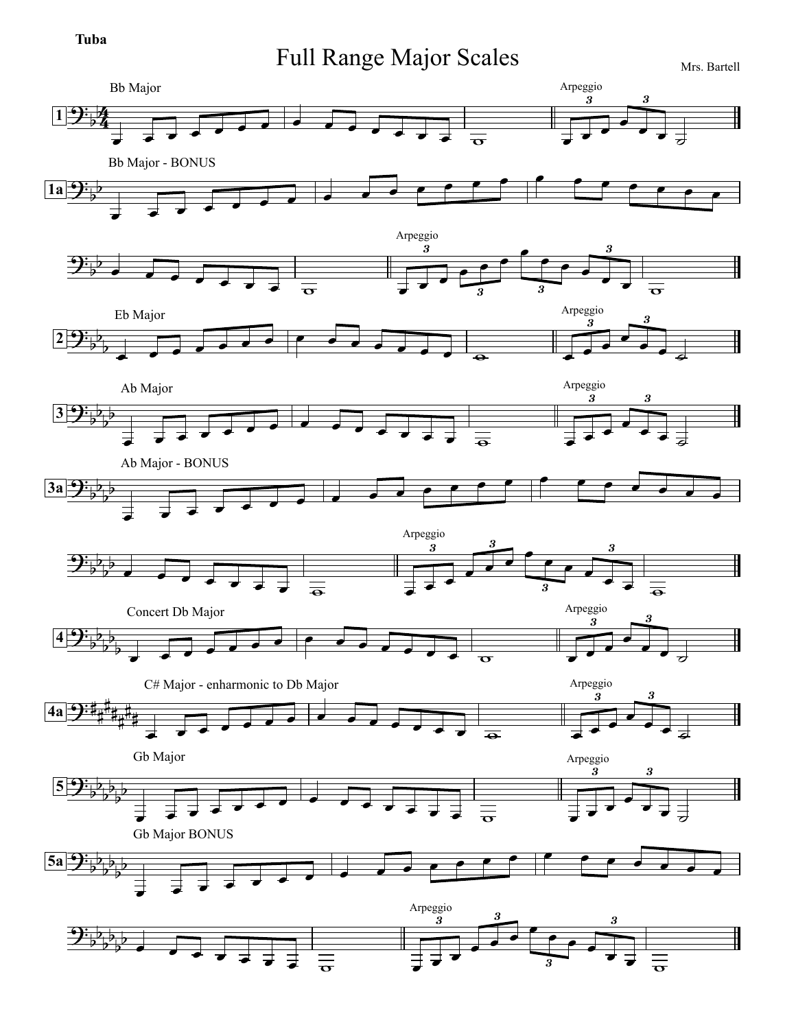## **Tuba**

## Full Range Major Scales Mrs. Bartell

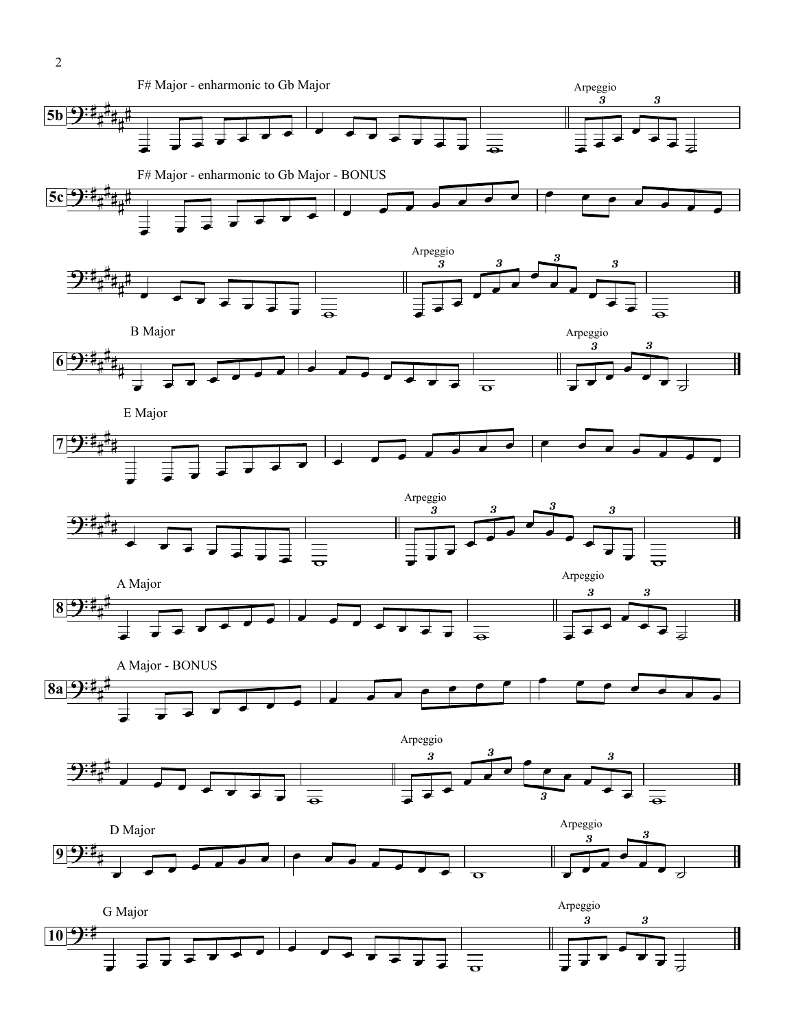